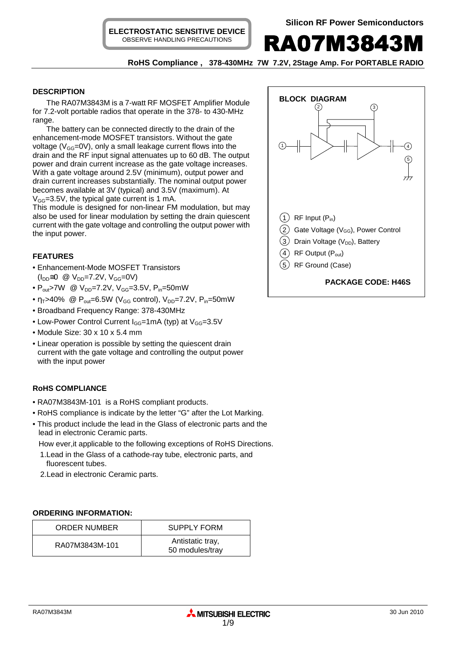

 **RoHS Compliance , 378-430MHz 7W 7.2V, 2Stage Amp. For PORTABLE RADIO** 

## **DESCRIPTION**

The RA07M3843M is a 7-watt RF MOSFET Amplifier Module for 7.2-volt portable radios that operate in the 378- to 430-MHz range.

The battery can be connected directly to the drain of the enhancement-mode MOSFET transistors. Without the gate voltage ( $V_{GG}$ =0V), only a small leakage current flows into the drain and the RF input signal attenuates up to 60 dB. The output power and drain current increase as the gate voltage increases. With a gate voltage around 2.5V (minimum), output power and drain current increases substantially. The nominal output power becomes available at 3V (typical) and 3.5V (maximum). At  $V_{GG}$ =3.5V, the typical gate current is 1 mA.

This module is designed for non-linear FM modulation, but may also be used for linear modulation by setting the drain quiescent current with the gate voltage and controlling the output power with the input power.

# **FEATURES**

- Enhancement-Mode MOSFET Transistors  $(I_{DD} \cong 0 \text{ @ } V_{DD} = 7.2V, V_{GG} = 0V)$
- $P_{out}$ >7W @  $V_{DD}$ =7.2V,  $V_{GG}$ =3.5V,  $P_{in}$ =50mW
- $\eta_T > 40\%$  @  $P_{out} = 6.5W$  (V<sub>GG</sub> control), V<sub>DD</sub>=7.2V, P<sub>in</sub>=50mW
- Broadband Frequency Range: 378-430MHz
- Low-Power Control Current  $I_{GG}$ =1mA (typ) at  $V_{GG}$ =3.5V
- Module Size: 30 x 10 x 5.4 mm
- Linear operation is possible by setting the quiescent drain current with the gate voltage and controlling the output power with the input power

# **RoHS COMPLIANCE**

- RA07M3843M-101 is a RoHS compliant products.
- RoHS compliance is indicate by the letter "G" after the Lot Marking.
- This product include the lead in the Glass of electronic parts and the lead in electronic Ceramic parts.

How ever,it applicable to the following exceptions of RoHS Directions.

- 1.Lead in the Glass of a cathode-ray tube, electronic parts, and fluorescent tubes.
- 2.Lead in electronic Ceramic parts.

## **ORDERING INFORMATION:**

| <b>ORDER NUMBER</b> | <b>SUPPLY FORM</b>                  |
|---------------------|-------------------------------------|
| RA07M3843M-101      | Antistatic tray,<br>50 modules/tray |

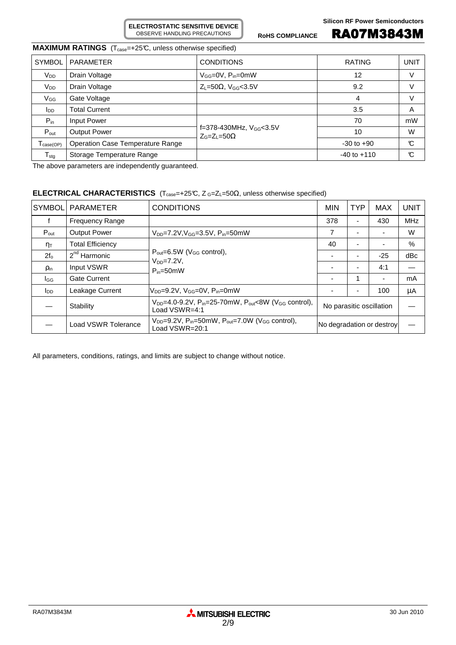ROHS COMPLIANCE **RA07M3843M** 

# **MAXIMUM RATINGS** (T<sub>case</sub>=+25°C, unless otherwise specified)

| <b>SYMBOL</b>                | <b>PARAMETER</b>                 | <b>CONDITIONS</b>                                                 | <b>RATING</b>   | UNIT |
|------------------------------|----------------------------------|-------------------------------------------------------------------|-----------------|------|
| V <sub>DD</sub>              | Drain Voltage                    | $V_{GG} = 0V$ , $P_{in} = 0$ mW                                   | 12              | V    |
| V <sub>DD</sub>              | Drain Voltage                    | $Z_L = 50\Omega$ , V <sub>GG</sub> <3.5V                          | 9.2             | V    |
| $V_{GG}$                     | Gate Voltage                     |                                                                   | 4               | V    |
| $I_{DD}$                     | <b>Total Current</b>             |                                                                   | 3.5             | A    |
| $P_{in}$                     | Input Power                      |                                                                   | 70              | mW   |
| $P_{\text{out}}$             | <b>Output Power</b>              | f=378-430MHz, V <sub>GG</sub> <3.5V<br>$Z_{G} = Z_{I} = 50\Omega$ | 10              | W    |
| $T_{\text{case}(\text{OP})}$ | Operation Case Temperature Range |                                                                   | $-30$ to $+90$  | C    |
| ${\sf T}_{\sf stg}$          | Storage Temperature Range        |                                                                   | $-40$ to $+110$ | C    |

The above parameters are independently guaranteed.

# **ELECTRICAL CHARACTERISTICS** (T<sub>case</sub>=+25℃, Z G=Z<sub>L</sub>=50Ω, unless otherwise specified)

| <b>SYMBOL</b>          | PARAMETER               | <b>CONDITIONS</b>                                                                                              | <b>MIN</b>                | <b>TYP</b> | <b>MAX</b> | <b>UNIT</b> |
|------------------------|-------------------------|----------------------------------------------------------------------------------------------------------------|---------------------------|------------|------------|-------------|
| f                      | <b>Frequency Range</b>  |                                                                                                                | 378                       | -          | 430        | <b>MHz</b>  |
| $P_{\text{out}}$       | <b>Output Power</b>     | $V_{DD} = 7.2 V, V_{GG} = 3.5 V, P_{in} = 50 mW$                                                               | 7                         |            |            | W           |
| $n_{\text{T}}$         | <b>Total Efficiency</b> |                                                                                                                |                           |            |            | $\%$        |
| $2f_{o}$               | $2nd$ Harmonic          | $P_{\text{out}} = 6.5W$ (V <sub>GG</sub> control),<br>$V_{DD} = 7.2V$<br>$P_{in}=50$ mW                        |                           |            | $-25$      | dBc         |
| <b>Pin</b>             | Input VSWR              |                                                                                                                |                           |            | 4:1        |             |
| l <sub>GG</sub>        | <b>Gate Current</b>     |                                                                                                                |                           |            |            | mA          |
| <b>I</b> <sub>DD</sub> | Leakage Current         | $V_{DD} = 9.2V$ , $V_{GG} = 0V$ , $P_{in} = 0$ mW                                                              |                           |            | 100        | μA          |
|                        | Stability               | $V_{DD}$ =4.0-9.2V, P <sub>in</sub> =25-70mW, P <sub>out</sub> <8W (V <sub>GG</sub> control),<br>Load VSWR=4:1 | No parasitic oscillation  |            |            |             |
|                        | Load VSWR Tolerance     | $V_{DD}$ =9.2V, P <sub>in</sub> =50mW, P <sub>out</sub> =7.0W (V <sub>GG</sub> control),<br>Load VSWR=20:1     | No degradation or destroy |            |            |             |

All parameters, conditions, ratings, and limits are subject to change without notice.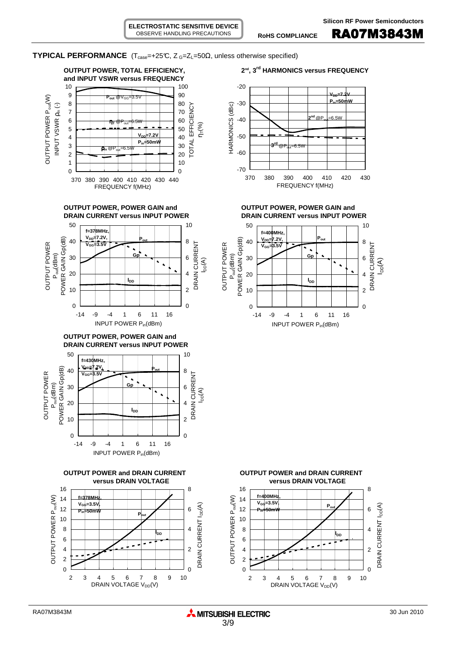ROHS COMPLIANCE **RA07M3843M** 

-30

-20

**TYPICAL PERFORMANCE** ( $T_{case}$ =+25°C,  $Z_{G}$ = $Z_{L}$ =50 $\Omega$ , unless otherwise specified)















 $-6.5W$ 

**VDD=7.2V Pin=50mW**







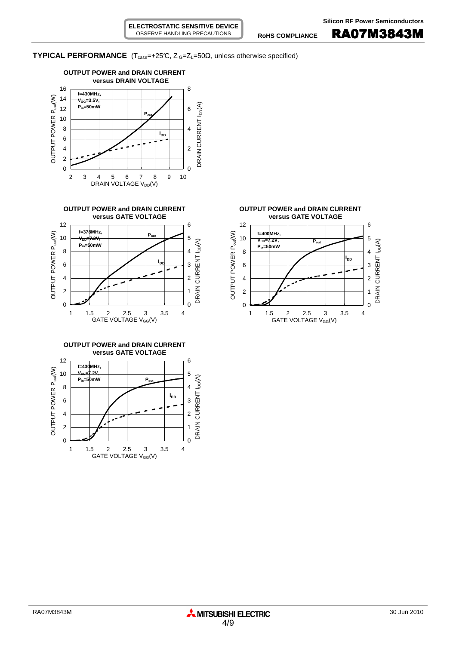**TYPICAL PERFORMANCE** ( $T_{case} = +25^\circ$ C,  $Z_{G} = Z_{L} = 50\Omega$ , unless otherwise specified)











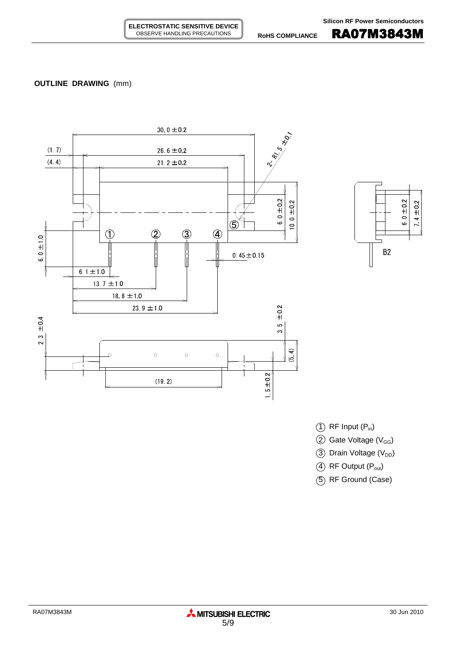# **OUTLINE DRAWING** (mm)







 $(2)$  Gate Voltage (V<sub>GG</sub>)

3 Drain Voltage (V<sub>DD</sub>)

4 RF Output (P<sub>out</sub>)

5 RF Ground (Case)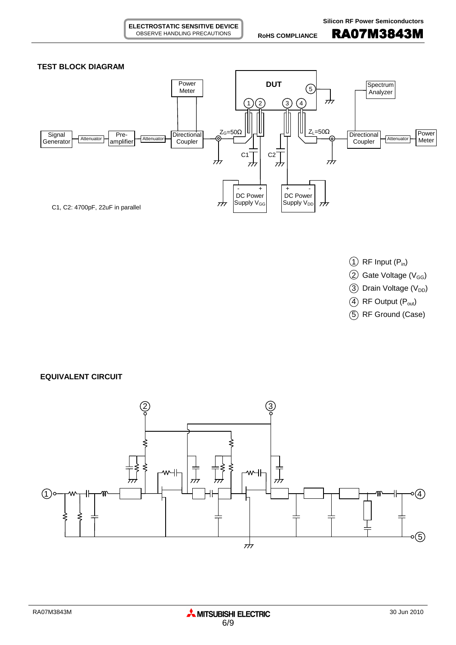

- $(1)$  RF Input  $(P_{in})$
- $(2)$  Gate Voltage (V<sub>GG</sub>)
- $(3)$  Drain Voltage (V<sub>DD</sub>)
- $(4)$  RF Output  $(P_{out})$
- 5 RF Ground (Case)

**EQUIVALENT CIRCUIT**

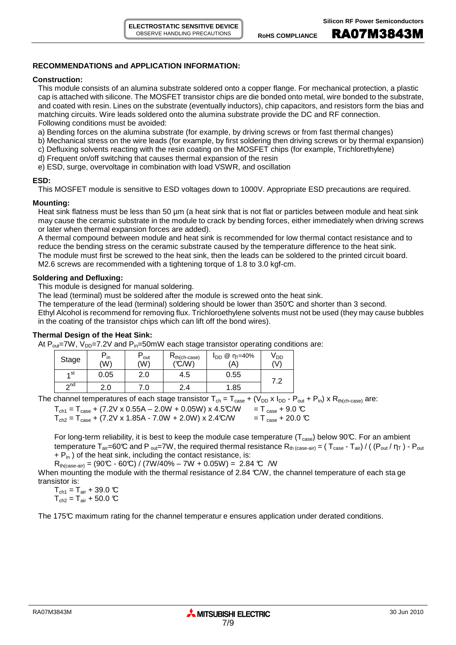## **RECOMMENDATIONS and APPLICATION INFORMATION:**

#### **Construction:**

This module consists of an alumina substrate soldered onto a copper flange. For mechanical protection, a plastic cap is attached with silicone. The MOSFET transistor chips are die bonded onto metal, wire bonded to the substrate, and coated with resin. Lines on the substrate (eventually inductors), chip capacitors, and resistors form the bias and matching circuits. Wire leads soldered onto the alumina substrate provide the DC and RF connection. Following conditions must be avoided:

a) Bending forces on the alumina substrate (for example, by driving screws or from fast thermal changes)

- b) Mechanical stress on the wire leads (for example, by first soldering then driving screws or by thermal expansion)
- c) Defluxing solvents reacting with the resin coating on the MOSFET chips (for example, Trichlorethylene)
- d) Frequent on/off switching that causes thermal expansion of the resin
- e) ESD, surge, overvoltage in combination with load VSWR, and oscillation

#### **ESD:**

This MOSFET module is sensitive to ESD voltages down to 1000V. Appropriate ESD precautions are required.

## **Mounting:**

Heat sink flatness must be less than 50  $\mu$ m (a heat sink that is not flat or particles between module and heat sink may cause the ceramic substrate in the module to crack by bending forces, either immediately when driving screws or later when thermal expansion forces are added).

A thermal compound between module and heat sink is recommended for low thermal contact resistance and to reduce the bending stress on the ceramic substrate caused by the temperature difference to the heat sink. The module must first be screwed to the heat sink, then the leads can be soldered to the printed circuit board. M2.6 screws are recommended with a tightening torque of 1.8 to 3.0 kgf-cm.

## **Soldering and Defluxing:**

This module is designed for manual soldering.

The lead (terminal) must be soldered after the module is screwed onto the heat sink.

The temperature of the lead (terminal) soldering should be lower than 350°C and shorter than 3 second.

Ethyl Alcohol is recommend for removing flux. Trichloroethylene solvents must not be used (they may cause bubbles in the coating of the transistor chips which can lift off the bond wires).

## **Thermal Design of the Heat Sink:**

At  $P_{out}$ =7W, V<sub>DD</sub>=7.2V and  $P_{in}$ =50mW each stage transistor operating conditions are:

| Stage     | "in<br>(W) | `out<br>(W) | $R_{th(ch-case)}$<br>(°C/W) | $@$ η <sub>Τ</sub> =40%<br><b>I</b> DD<br>'A` | V <sub>DD</sub><br>(V) |
|-----------|------------|-------------|-----------------------------|-----------------------------------------------|------------------------|
| ⊿ st      | 0.05       | 2.0         | 4.5                         | 0.55                                          | ~ ^                    |
| $\sim$ nd | ۷.J        | .0          | 4                           | .85                                           | . .                    |

The channel temperatures of each stage transistor  $T_{ch} = T_{case} + (V_{DD} \times I_{DD} - P_{out} + P_{in}) \times R_{th(ch-case)}$  are:

| $T_{\text{ch1}} = T_{\text{case}} + (7.2 \text{V} \times 0.55 \text{A} - 2.0 \text{W} + 0.05 \text{W}) \times 4.5 \text{°C/W}$ | $T_{\text{case}} + 9.0 \text{ C}$  |
|--------------------------------------------------------------------------------------------------------------------------------|------------------------------------|
| $T_{ch2} = T_{case} + (7.2V \times 1.85A - 7.0W + 2.0W) \times 2.4C/W$                                                         | $T_{\text{case}} + 20.0 \text{ C}$ |

For long-term reliability, it is best to keep the module case temperature ( $T_{case}$ ) below 90°C. For an ambient temperature  $T_{air}=60^{\circ}C$  and P <sub>out</sub>=7W, the required thermal resistance  $R_{th \ (case-air)} = (T_{case} - T_{air}) / ((P_{out}/\eta_T) - P_{out}$  $+ P_{in}$ ) of the heat sink, including the contact resistance, is:

 $R_{th (case-air)} = (90\text{°C} - 60\text{°C}) / (7W/40\% - 7W + 0.05W) = 2.84 \text{°C} /W$ 

When mounting the module with the thermal resistance of 2.84 °C/W, the channel temperature of each sta ge transistor is:

 $T_{\text{ch1}} = T_{\text{air}} + 39.0 \text{ °C}$  $T_{ch2} = T_{air} + 50.0$  °C

The 175°C maximum rating for the channel temperatur e ensures application under derated conditions.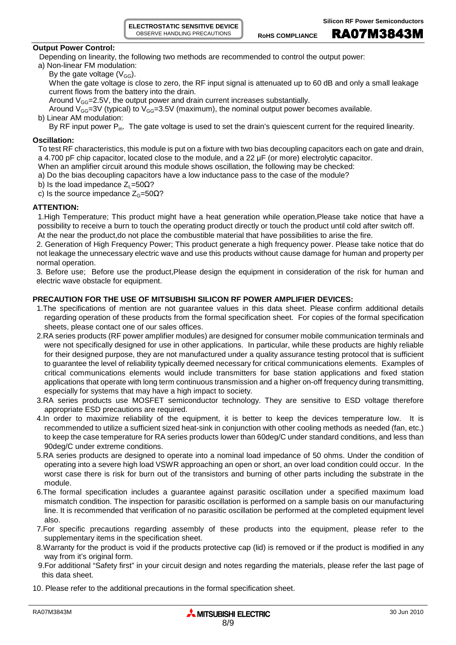ROHS COMPLIANCE **RA07M3843M** 

#### **Output Power Control:**

Depending on linearity, the following two methods are recommended to control the output power:

- a) Non-linear FM modulation:
	- By the gate voltage  $(V_{GG})$ .

When the gate voltage is close to zero, the RF input signal is attenuated up to 60 dB and only a small leakage current flows from the battery into the drain.

Around  $V_{GG}$ =2.5V, the output power and drain current increases substantially.

Around  $V_{GG}=3V$  (typical) to  $V_{GG}=3.5V$  (maximum), the nominal output power becomes available.

b) Linear AM modulation:

By RF input power  $P_{in}$ . The gate voltage is used to set the drain's quiescent current for the required linearity.

#### **Oscillation:**

To test RF characteristics, this module is put on a fixture with two bias decoupling capacitors each on gate and drain, a 4.700 pF chip capacitor, located close to the module, and a 22 µF (or more) electrolytic capacitor.

- When an amplifier circuit around this module shows oscillation, the following may be checked:
- a) Do the bias decoupling capacitors have a low inductance pass to the case of the module?
- b) Is the load impedance  $Z_1$ =50 $\Omega$ ?
- c) Is the source impedance  $Z<sub>G</sub>=50 $\Omega$ ?$

## **ATTENTION:**

1.High Temperature; This product might have a heat generation while operation,Please take notice that have a possibility to receive a burn to touch the operating product directly or touch the product until cold after switch off. At the near the product,do not place the combustible material that have possibilities to arise the fire.

2. Generation of High Frequency Power; This product generate a high frequency power. Please take notice that do not leakage the unnecessary electric wave and use this products without cause damage for human and property per normal operation.

3. Before use; Before use the product,Please design the equipment in consideration of the risk for human and electric wave obstacle for equipment.

## **PRECAUTION FOR THE USE OF MITSUBISHI SILICON RF POWER AMPLIFIER DEVICES:**

- 1.The specifications of mention are not guarantee values in this data sheet. Please confirm additional details regarding operation of these products from the formal specification sheet. For copies of the formal specification sheets, please contact one of our sales offices.
- 2.RA series products (RF power amplifier modules) are designed for consumer mobile communication terminals and were not specifically designed for use in other applications. In particular, while these products are highly reliable for their designed purpose, they are not manufactured under a quality assurance testing protocol that is sufficient to guarantee the level of reliability typically deemed necessary for critical communications elements. Examples of critical communications elements would include transmitters for base station applications and fixed station applications that operate with long term continuous transmission and a higher on-off frequency during transmitting, especially for systems that may have a high impact to society.
- 3.RA series products use MOSFET semiconductor technology. They are sensitive to ESD voltage therefore appropriate ESD precautions are required.
- 4.In order to maximize reliability of the equipment, it is better to keep the devices temperature low. It is recommended to utilize a sufficient sized heat-sink in conjunction with other cooling methods as needed (fan, etc.) to keep the case temperature for RA series products lower than 60deg/C under standard conditions, and less than 90deg/C under extreme conditions.
- 5.RA series products are designed to operate into a nominal load impedance of 50 ohms. Under the condition of operating into a severe high load VSWR approaching an open or short, an over load condition could occur. In the worst case there is risk for burn out of the transistors and burning of other parts including the substrate in the module.
- 6.The formal specification includes a guarantee against parasitic oscillation under a specified maximum load mismatch condition. The inspection for parasitic oscillation is performed on a sample basis on our manufacturing line. It is recommended that verification of no parasitic oscillation be performed at the completed equipment level also.
- 7.For specific precautions regarding assembly of these products into the equipment, please refer to the supplementary items in the specification sheet.
- 8.Warranty for the product is void if the products protective cap (lid) is removed or if the product is modified in any way from it's original form.
- 9.For additional "Safety first" in your circuit design and notes regarding the materials, please refer the last page of this data sheet.
- 10. Please refer to the additional precautions in the formal specification sheet.